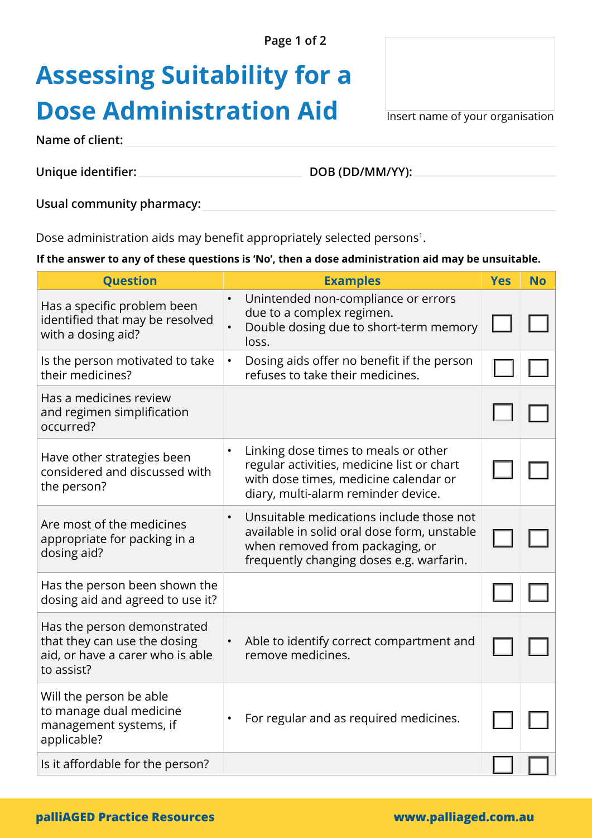**Page 1 of 2** 

## **Assessing Suitability for a Dose Administration Aid** Insert name of your organisation

**Name of client:** 

**Unique identifier: DOB (DD/MM/YY):** 

**Usual community pharmacy:**

Dose administration aids may benefit appropriately selected persons<sup>1</sup>.

## **If the answer to any of these questions is 'No', then a dose administration aid may be unsuitable.**

| <b>Question</b>                                                                                               | <b>Examples</b>                                                                                                                                                        | <b>Yes</b> | <b>No</b> |
|---------------------------------------------------------------------------------------------------------------|------------------------------------------------------------------------------------------------------------------------------------------------------------------------|------------|-----------|
| Has a specific problem been<br>identified that may be resolved<br>with a dosing aid?                          | Unintended non-compliance or errors<br>due to a complex regimen.<br>Double dosing due to short-term memory<br>loss.                                                    |            |           |
| Is the person motivated to take<br>their medicines?                                                           | Dosing aids offer no benefit if the person<br>$\bullet$<br>refuses to take their medicines.                                                                            |            |           |
| Has a medicines review<br>and regimen simplification<br>occurred?                                             |                                                                                                                                                                        |            |           |
| Have other strategies been<br>considered and discussed with<br>the person?                                    | Linking dose times to meals or other<br>regular activities, medicine list or chart<br>with dose times, medicine calendar or<br>diary, multi-alarm reminder device.     |            |           |
| Are most of the medicines<br>appropriate for packing in a<br>dosing aid?                                      | Unsuitable medications include those not<br>available in solid oral dose form, unstable<br>when removed from packaging, or<br>frequently changing doses e.g. warfarin. |            |           |
| Has the person been shown the<br>dosing aid and agreed to use it?                                             |                                                                                                                                                                        |            |           |
| Has the person demonstrated<br>that they can use the dosing<br>aid, or have a carer who is able<br>to assist? | Able to identify correct compartment and<br>remove medicines.                                                                                                          |            |           |
| Will the person be able<br>to manage dual medicine<br>management systems, if<br>applicable?                   | For regular and as required medicines.                                                                                                                                 |            |           |
| Is it affordable for the person?                                                                              |                                                                                                                                                                        |            |           |